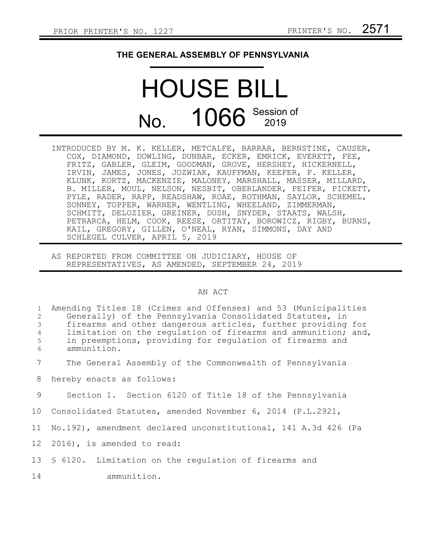## **THE GENERAL ASSEMBLY OF PENNSYLVANIA**

## HOUSE BILL No. 1066 Session of

- INTRODUCED BY M. K. KELLER, METCALFE, BARRAR, BERNSTINE, CAUSER, COX, DIAMOND, DOWLING, DUNBAR, ECKER, EMRICK, EVERETT, FEE, FRITZ, GABLER, GLEIM, GOODMAN, GROVE, HERSHEY, HICKERNELL, IRVIN, JAMES, JONES, JOZWIAK, KAUFFMAN, KEEFER, F. KELLER, KLUNK, KORTZ, MACKENZIE, MALONEY, MARSHALL, MASSER, MILLARD, B. MILLER, MOUL, NELSON, NESBIT, OBERLANDER, PEIFER, PICKETT, PYLE, RADER, RAPP, READSHAW, ROAE, ROTHMAN, SAYLOR, SCHEMEL, SONNEY, TOPPER, WARNER, WENTLING, WHEELAND, ZIMMERMAN, SCHMITT, DELOZIER, GREINER, DUSH, SNYDER, STAATS, WALSH, PETRARCA, HELM, COOK, REESE, ORTITAY, BOROWICZ, RIGBY, BURNS, KAIL, GREGORY, GILLEN, O'NEAL, RYAN, SIMMONS, DAY AND SCHLEGEL CULVER, APRIL 5, 2019
- AS REPORTED FROM COMMITTEE ON JUDICIARY, HOUSE OF REPRESENTATIVES, AS AMENDED, SEPTEMBER 24, 2019

## AN ACT

| $\mathbf{1}$<br>2<br>$\mathcal{S}$<br>$\sqrt{4}$<br>5<br>6 | Amending Titles 18 (Crimes and Offenses) and 53 (Municipalities<br>Generally) of the Pennsylvania Consolidated Statutes, in<br>firearms and other dangerous articles, further providing for<br>limitation on the regulation of firearms and ammunition; and,<br>in preemptions, providing for regulation of firearms and<br>ammunition. |
|------------------------------------------------------------|-----------------------------------------------------------------------------------------------------------------------------------------------------------------------------------------------------------------------------------------------------------------------------------------------------------------------------------------|
| 7                                                          | The General Assembly of the Commonwealth of Pennsylvania                                                                                                                                                                                                                                                                                |
| 8                                                          | hereby enacts as follows:                                                                                                                                                                                                                                                                                                               |
| 9                                                          | Section 1. Section 6120 of Title 18 of the Pennsylvania                                                                                                                                                                                                                                                                                 |
|                                                            | 10 Consolidated Statutes, amended November 6, 2014 (P.L.2921,                                                                                                                                                                                                                                                                           |
| 11                                                         | No.192), amendment declared unconstitutional, 141 A.3d 426 (Pa                                                                                                                                                                                                                                                                          |
|                                                            | 12 2016), is amended to read:                                                                                                                                                                                                                                                                                                           |
|                                                            | 13 § 6120. Limitation on the regulation of firearms and                                                                                                                                                                                                                                                                                 |
| 14                                                         | ammunition.                                                                                                                                                                                                                                                                                                                             |
|                                                            |                                                                                                                                                                                                                                                                                                                                         |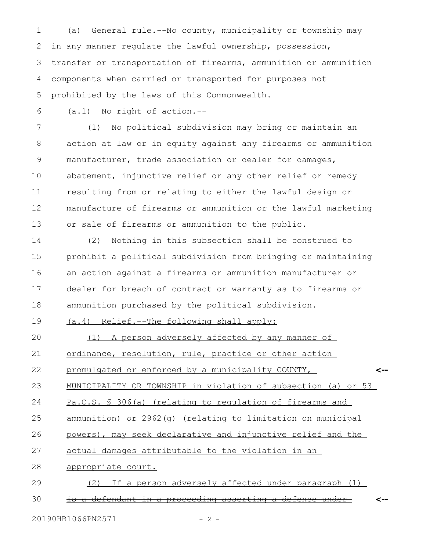(a) General rule.--No county, municipality or township may in any manner regulate the lawful ownership, possession, transfer or transportation of firearms, ammunition or ammunition components when carried or transported for purposes not prohibited by the laws of this Commonwealth. 1 2 3 4 5

(a.1) No right of action.-- 6

(1) No political subdivision may bring or maintain an action at law or in equity against any firearms or ammunition manufacturer, trade association or dealer for damages, abatement, injunctive relief or any other relief or remedy resulting from or relating to either the lawful design or manufacture of firearms or ammunition or the lawful marketing or sale of firearms or ammunition to the public. 7 8 9 10 11 12 13

(2) Nothing in this subsection shall be construed to prohibit a political subdivision from bringing or maintaining an action against a firearms or ammunition manufacturer or dealer for breach of contract or warranty as to firearms or ammunition purchased by the political subdivision. 14 15 16 17 18

(a.4) Relief.--The following shall apply: 19

(1) A person adversely affected by any manner of ordinance, resolution, rule, practice or other action promulgated or enforced by a municipality COUNTY, MUNICIPALITY OR TOWNSHIP in violation of subsection (a) or 53 Pa.C.S. § 306(a) (relating to regulation of firearms and ammunition) or 2962(g) (relating to limitation on municipal powers), may seek declarative and injunctive relief and the actual damages attributable to the violation in an appropriate court. (2) If a person adversely affected under paragraph (1) is a defendant in a proceeding asserting a defense under **<-- <--** 20 21 22 23 24 25 26 27 28 29 30

20190HB1066PN2571 - 2 -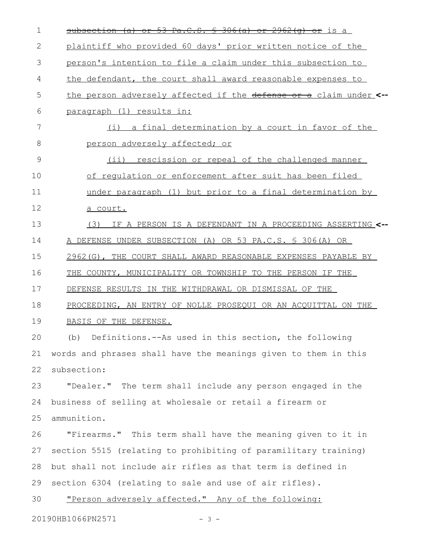| 1  | subsection (a) or 53 Pa.C.S. $\frac{1}{2}$ 306(a) or 2962(q) or is a |
|----|----------------------------------------------------------------------|
| 2  | plaintiff who provided 60 days' prior written notice of the          |
| 3  | person's intention to file a claim under this subsection to          |
| 4  | the defendant, the court shall award reasonable expenses to          |
| 5  | the person adversely affected if the defense or a claim under <--    |
| 6  | paragraph (1) results in:                                            |
| 7  | (i) a final determination by a court in favor of the                 |
| 8  | person adversely affected; or                                        |
| 9  | $(i$ ii)<br>rescission or repeal of the challenged manner            |
| 10 | of regulation or enforcement after suit has been filed               |
| 11 | under paragraph (1) but prior to a final determination by            |
| 12 | a court.                                                             |
| 13 | (3)<br>IF A PERSON IS A DEFENDANT IN A PROCEEDING ASSERTING <--      |
| 14 | A DEFENSE UNDER SUBSECTION (A) OR 53 PA.C.S. § 306(A) OR             |
| 15 | 2962(G), THE COURT SHALL AWARD REASONABLE EXPENSES PAYABLE BY        |
| 16 | THE COUNTY, MUNICIPALITY OR TOWNSHIP TO THE PERSON IF THE            |
| 17 | DEFENSE RESULTS IN THE WITHDRAWAL OR DISMISSAL OF THE                |
| 18 | PROCEEDING, AN ENTRY OF NOLLE PROSEQUI OR AN ACQUITTAL ON THE        |
| 19 | BASIS OF THE DEFENSE.                                                |
| 20 | (b) Definitions.--As used in this section, the following             |
| 21 | words and phrases shall have the meanings given to them in this      |
| 22 | subsection:                                                          |
| 23 | "Dealer." The term shall include any person engaged in the           |
| 24 | business of selling at wholesale or retail a firearm or              |
| 25 | ammunition.                                                          |
| 26 | "Firearms." This term shall have the meaning given to it in          |
| 27 | section 5515 (relating to prohibiting of paramilitary training)      |
| 28 | but shall not include air rifles as that term is defined in          |
| 29 | section 6304 (relating to sale and use of air rifles).               |
| 30 | "Person adversely affected." Any of the following:                   |
|    | 20190HB1066PN2571<br>$-3 -$                                          |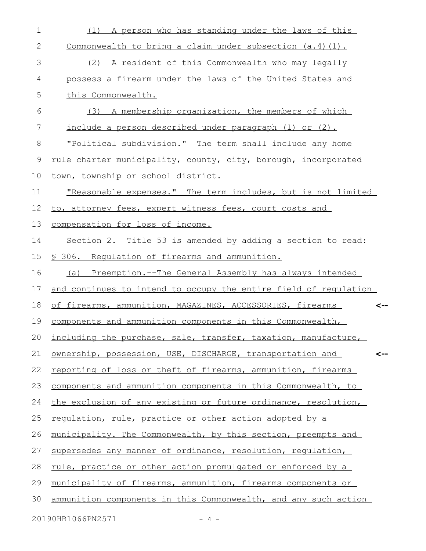| $\mathbf 1$ | (1) A person who has standing under the laws of this              |
|-------------|-------------------------------------------------------------------|
| 2           | Commonwealth to bring a claim under subsection $(a.4)$ $(1)$ .    |
| 3           | (2) A resident of this Commonwealth who may legally               |
| 4           | possess a firearm under the laws of the United States and         |
| 5           | this Commonwealth.                                                |
| 6           | (3) A membership organization, the members of which               |
| 7           | include a person described under paragraph (1) or (2).            |
| 8           | "Political subdivision." The term shall include any home          |
| 9           | rule charter municipality, county, city, borough, incorporated    |
| 10          | town, township or school district.                                |
| 11          | "Reasonable expenses." The term includes, but is not limited      |
| 12          | to, attorney fees, expert witness fees, court costs and           |
| 13          | compensation for loss of income.                                  |
| 14          | Section 2. Title 53 is amended by adding a section to read:       |
| 15          | § 306. Requlation of firearms and ammunition.                     |
| 16          | (a) Preemption.--The General Assembly has always intended         |
| 17          | and continues to intend to occupy the entire field of requlation  |
| 18          | of firearms, ammunition, MAGAZINES, ACCESSORIES, firearms<br><--  |
| 19          | components and ammunition components in this Commonwealth,        |
|             | 20 including the purchase, sale, transfer, taxation, manufacture, |
| 21          | ownership, possession, USE, DISCHARGE, transportation and<br><--  |
| 22          | reporting of loss or theft of firearms, ammunition, firearms      |
| 23          | components and ammunition components in this Commonwealth, to     |
| 24          | the exclusion of any existing or future ordinance, resolution,    |
| 25          | regulation, rule, practice or other action adopted by a           |
| 26          | municipality. The Commonwealth, by this section, preempts and     |
| 27          | supersedes any manner of ordinance, resolution, requlation,       |
| 28          | rule, practice or other action promulgated or enforced by a       |
| 29          | municipality of firearms, ammunition, firearms components or      |
| 30          | ammunition components in this Commonwealth, and any such action   |
|             | 20190HB1066PN2571<br>$-4$ -                                       |